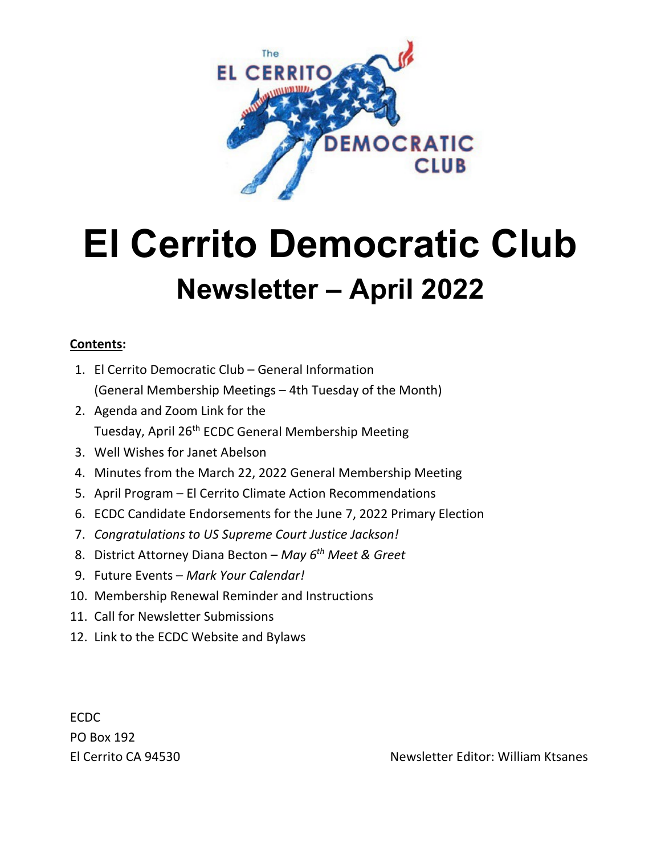

# **El Cerrito Democratic Club Newsletter – April 2022**

# **Contents:**

- 1. El Cerrito Democratic Club General Information (General Membership Meetings – 4th Tuesday of the Month)
- 2. Agenda and Zoom Link for the Tuesday, April 26<sup>th</sup> ECDC General Membership Meeting
- 3. Well Wishes for Janet Abelson
- 4. Minutes from the March 22, 2022 General Membership Meeting
- 5. April Program El Cerrito Climate Action Recommendations
- 6. ECDC Candidate Endorsements for the June 7, 2022 Primary Election
- 7. *Congratulations to US Supreme Court Justice Jackson!*
- 8. District Attorney Diana Becton *May 6th Meet & Greet*
- 9. Future Events *Mark Your Calendar!*
- 10. Membership Renewal Reminder and Instructions
- 11. Call for Newsletter Submissions
- 12. Link to the ECDC Website and Bylaws

ECDC PO Box 192

El Cerrito CA 94530 Newsletter Editor: William Ktsanes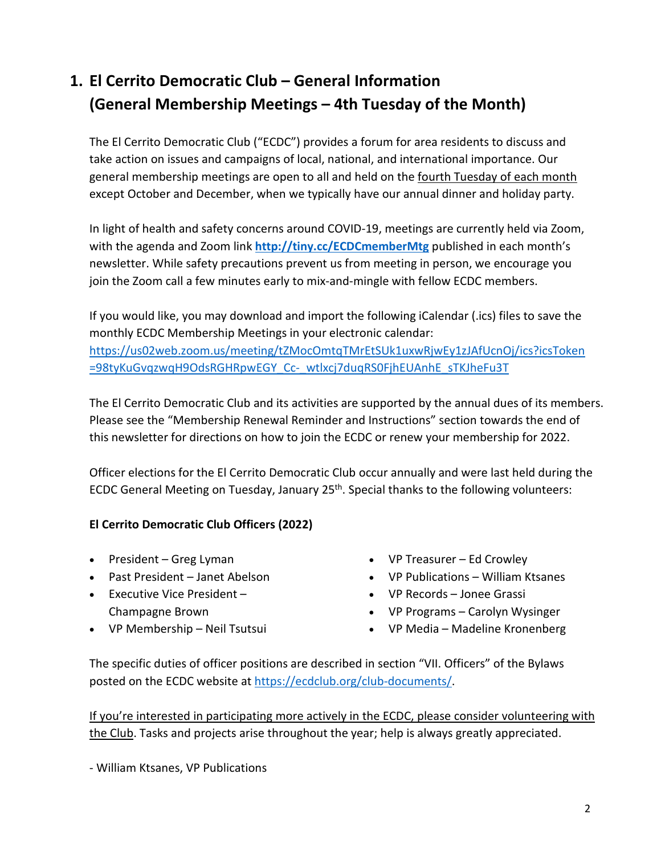# **1. El Cerrito Democratic Club – General Information (General Membership Meetings – 4th Tuesday of the Month)**

The El Cerrito Democratic Club ("ECDC") provides a forum for area residents to discuss and take action on issues and campaigns of local, national, and international importance. Our general membership meetings are open to all and held on the fourth Tuesday of each month except October and December, when we typically have our annual dinner and holiday party.

In light of health and safety concerns around COVID-19, meetings are currently held via Zoom, with the agenda and Zoom link **<http://tiny.cc/ECDCmemberMtg>** published in each month's newsletter. While safety precautions prevent us from meeting in person, we encourage you join the Zoom call a few minutes early to mix-and-mingle with fellow ECDC members.

If you would like, you may download and import the following iCalendar (.ics) files to save the monthly ECDC Membership Meetings in your electronic calendar: [https://us02web.zoom.us/meeting/tZMocOmtqTMrEtSUk1uxwRjwEy1zJAfUcnOj/ics?icsToken](https://us02web.zoom.us/meeting/tZMocOmtqTMrEtSUk1uxwRjwEy1zJAfUcnOj/ics?icsToken=98tyKuGvqzwqH9OdsRGHRpwEGY_Cc-_wtlxcj7duqRS0FjhEUAnhE_sTKJheFu3T) [=98tyKuGvqzwqH9OdsRGHRpwEGY\\_Cc-\\_wtlxcj7duqRS0FjhEUAnhE\\_sTKJheFu3T](https://us02web.zoom.us/meeting/tZMocOmtqTMrEtSUk1uxwRjwEy1zJAfUcnOj/ics?icsToken=98tyKuGvqzwqH9OdsRGHRpwEGY_Cc-_wtlxcj7duqRS0FjhEUAnhE_sTKJheFu3T)

The El Cerrito Democratic Club and its activities are supported by the annual dues of its members. Please see the "Membership Renewal Reminder and Instructions" section towards the end of this newsletter for directions on how to join the ECDC or renew your membership for 2022.

Officer elections for the El Cerrito Democratic Club occur annually and were last held during the ECDC General Meeting on Tuesday, January 25<sup>th</sup>. Special thanks to the following volunteers:

# **El Cerrito Democratic Club Officers (2022)**

- President Greg Lyman
- Past President Janet Abelson
- Executive Vice President Champagne Brown
- VP Membership Neil Tsutsui
- VP Treasurer Ed Crowley
- VP Publications William Ktsanes
- VP Records Jonee Grassi
- VP Programs Carolyn Wysinger
- VP Media Madeline Kronenberg

The specific duties of officer positions are described in section "VII. Officers" of the Bylaws posted on the ECDC website a[t https://ecdclub.org/club-documents/.](https://ecdclub.org/club-documents/)

If you're interested in participating more actively in the ECDC, please consider volunteering with the Club. Tasks and projects arise throughout the year; help is always greatly appreciated.

- William Ktsanes, VP Publications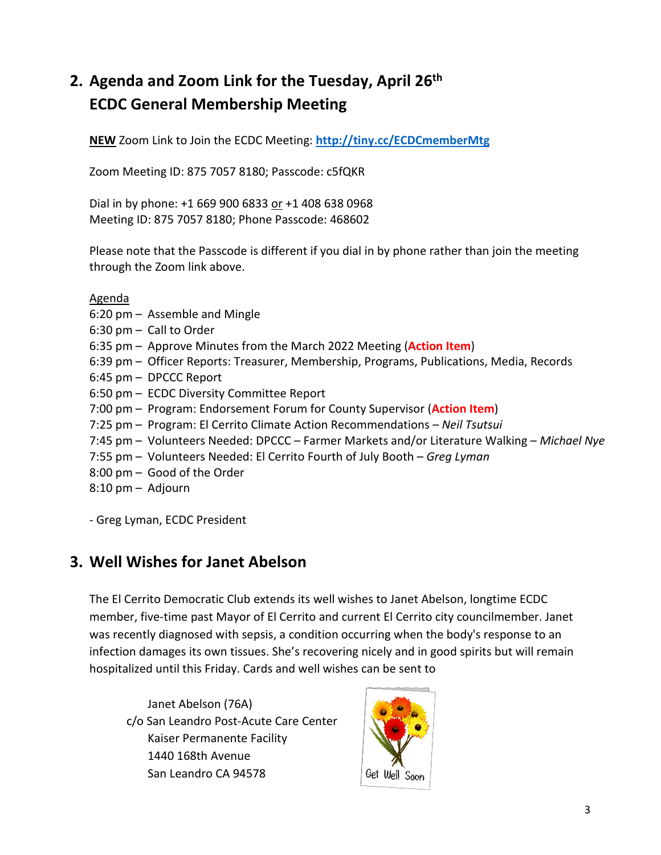# **2. Agenda and Zoom Link for the Tuesday, April 26th ECDC General Membership Meeting**

**NEW** Zoom Link to Join the ECDC Meeting: **<http://tiny.cc/ECDCmemberMtg>**

Zoom Meeting ID: 875 7057 8180; Passcode: c5fQKR

Dial in by phone: +1 669 900 6833 or +1 408 638 0968 Meeting ID: 875 7057 8180; Phone Passcode: 468602

Please note that the Passcode is different if you dial in by phone rather than join the meeting through the Zoom link above.

Agenda

- 6:20 pm Assemble and Mingle
- 6:30 pm Call to Order
- 6:35 pm Approve Minutes from the March 2022 Meeting (**Action Item**)
- 6:39 pm Officer Reports: Treasurer, Membership, Programs, Publications, Media, Records
- 6:45 pm DPCCC Report
- 6:50 pm ECDC Diversity Committee Report
- 7:00 pm Program: Endorsement Forum for County Supervisor (**Action Item**)
- 7:25 pm Program: El Cerrito Climate Action Recommendations *Neil Tsutsui*
- 7:45 pm Volunteers Needed: DPCCC Farmer Markets and/or Literature Walking *Michael Nye*
- 7:55 pm Volunteers Needed: El Cerrito Fourth of July Booth *Greg Lyman*
- 8:00 pm Good of the Order
- 8:10 pm Adjourn

- Greg Lyman, ECDC President

# **3. Well Wishes for Janet Abelson**

The El Cerrito Democratic Club extends its well wishes to Janet Abelson, longtime ECDC member, five-time past Mayor of El Cerrito and current El Cerrito city councilmember. Janet was recently diagnosed with sepsis, a condition occurring when the body's response to an infection damages its own tissues. She's recovering nicely and in good spirits but will remain hospitalized until this Friday. Cards and well wishes can be sent to

Janet Abelson (76A) c/o San Leandro Post-Acute Care Center Kaiser Permanente Facility 1440 168th Avenue San Leandro CA 94578

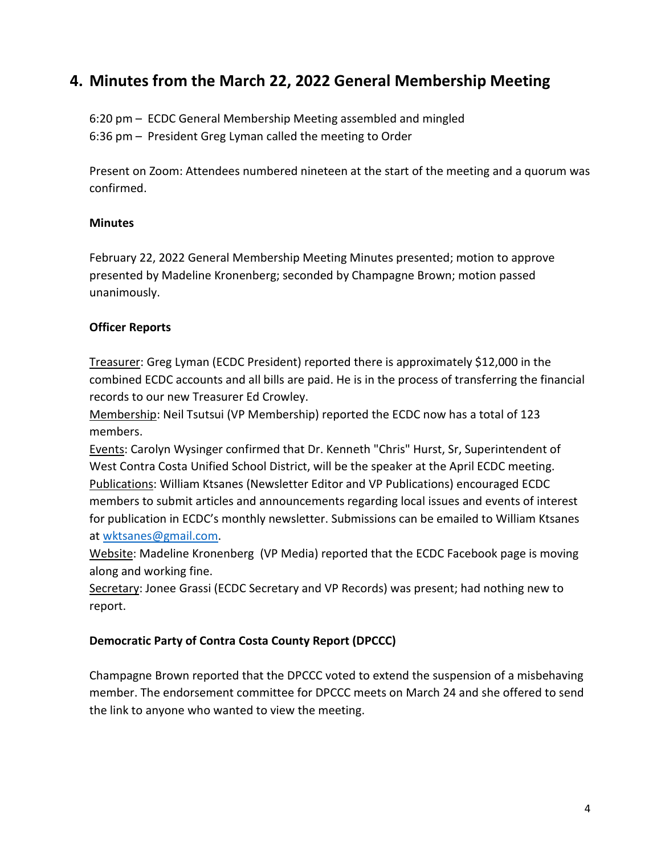# **4. Minutes from the March 22, 2022 General Membership Meeting**

6:20 pm – ECDC General Membership Meeting assembled and mingled 6:36 pm – President Greg Lyman called the meeting to Order

Present on Zoom: Attendees numbered nineteen at the start of the meeting and a quorum was confirmed.

## **Minutes**

February 22, 2022 General Membership Meeting Minutes presented; motion to approve presented by Madeline Kronenberg; seconded by Champagne Brown; motion passed unanimously.

## **Officer Reports**

Treasurer: Greg Lyman (ECDC President) reported there is approximately \$12,000 in the combined ECDC accounts and all bills are paid. He is in the process of transferring the financial records to our new Treasurer Ed Crowley.

Membership: Neil Tsutsui (VP Membership) reported the ECDC now has a total of 123 members.

Events: Carolyn Wysinger confirmed that Dr. Kenneth "Chris" Hurst, Sr, Superintendent of West Contra Costa Unified School District, will be the speaker at the April ECDC meeting. Publications: William Ktsanes (Newsletter Editor and VP Publications) encouraged ECDC members to submit articles and announcements regarding local issues and events of interest for publication in ECDC's monthly newsletter. Submissions can be emailed to William Ktsanes at [wktsanes@gmail.com.](mailto:wktsanes@gmail.com)

Website: Madeline Kronenberg (VP Media) reported that the ECDC Facebook page is moving along and working fine.

Secretary: Jonee Grassi (ECDC Secretary and VP Records) was present; had nothing new to report.

## **Democratic Party of Contra Costa County Report (DPCCC)**

Champagne Brown reported that the DPCCC voted to extend the suspension of a misbehaving member. The endorsement committee for DPCCC meets on March 24 and she offered to send the link to anyone who wanted to view the meeting.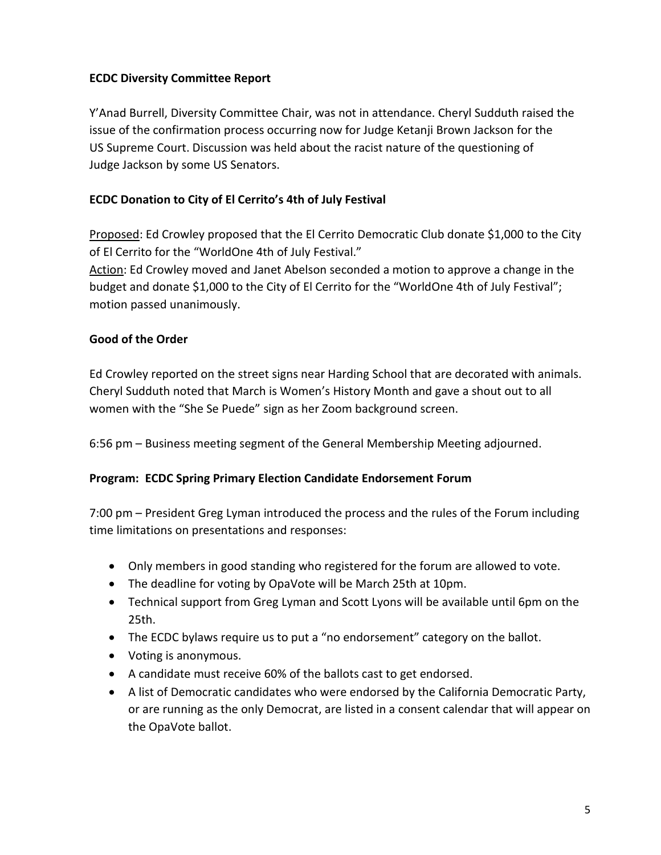## **ECDC Diversity Committee Report**

Y'Anad Burrell, Diversity Committee Chair, was not in attendance. Cheryl Sudduth raised the issue of the confirmation process occurring now for Judge Ketanji Brown Jackson for the US Supreme Court. Discussion was held about the racist nature of the questioning of Judge Jackson by some US Senators.

# **ECDC Donation to City of El Cerrito's 4th of July Festival**

Proposed: Ed Crowley proposed that the El Cerrito Democratic Club donate \$1,000 to the City of El Cerrito for the "WorldOne 4th of July Festival."

Action: Ed Crowley moved and Janet Abelson seconded a motion to approve a change in the budget and donate \$1,000 to the City of El Cerrito for the "WorldOne 4th of July Festival"; motion passed unanimously.

## **Good of the Order**

Ed Crowley reported on the street signs near Harding School that are decorated with animals. Cheryl Sudduth noted that March is Women's History Month and gave a shout out to all women with the "She Se Puede" sign as her Zoom background screen.

6:56 pm – Business meeting segment of the General Membership Meeting adjourned.

# **Program: ECDC Spring Primary Election Candidate Endorsement Forum**

7:00 pm – President Greg Lyman introduced the process and the rules of the Forum including time limitations on presentations and responses:

- Only members in good standing who registered for the forum are allowed to vote.
- The deadline for voting by OpaVote will be March 25th at 10pm.
- Technical support from Greg Lyman and Scott Lyons will be available until 6pm on the 25th.
- The ECDC bylaws require us to put a "no endorsement" category on the ballot.
- Voting is anonymous.
- A candidate must receive 60% of the ballots cast to get endorsed.
- A list of Democratic candidates who were endorsed by the California Democratic Party, or are running as the only Democrat, are listed in a consent calendar that will appear on the OpaVote ballot.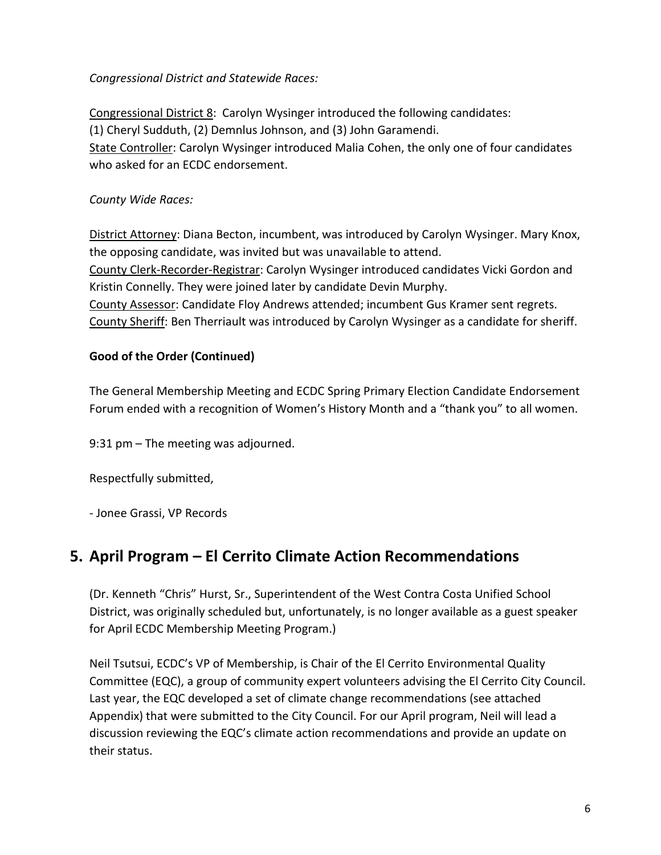*Congressional District and Statewide Races:*

Congressional District 8: Carolyn Wysinger introduced the following candidates: (1) Cheryl Sudduth, (2) Demnlus Johnson, and (3) John Garamendi. State Controller: Carolyn Wysinger introduced Malia Cohen, the only one of four candidates who asked for an ECDC endorsement.

# *County Wide Races:*

District Attorney: Diana Becton, incumbent, was introduced by Carolyn Wysinger. Mary Knox, the opposing candidate, was invited but was unavailable to attend. County Clerk-Recorder-Registrar: Carolyn Wysinger introduced candidates Vicki Gordon and Kristin Connelly. They were joined later by candidate Devin Murphy. County Assessor: Candidate Floy Andrews attended; incumbent Gus Kramer sent regrets. County Sheriff: Ben Therriault was introduced by Carolyn Wysinger as a candidate for sheriff.

# **Good of the Order (Continued)**

The General Membership Meeting and ECDC Spring Primary Election Candidate Endorsement Forum ended with a recognition of Women's History Month and a "thank you" to all women.

9:31 pm – The meeting was adjourned.

Respectfully submitted,

- Jonee Grassi, VP Records

# **5. April Program – El Cerrito Climate Action Recommendations**

(Dr. Kenneth "Chris" Hurst, Sr., Superintendent of the West Contra Costa Unified School District, was originally scheduled but, unfortunately, is no longer available as a guest speaker for April ECDC Membership Meeting Program.)

Neil Tsutsui, ECDC's VP of Membership, is Chair of the El Cerrito Environmental Quality Committee (EQC), a group of community expert volunteers advising the El Cerrito City Council. Last year, the EQC developed a set of climate change recommendations (see attached Appendix) that were submitted to the City Council. For our April program, Neil will lead a discussion reviewing the EQC's climate action recommendations and provide an update on their status.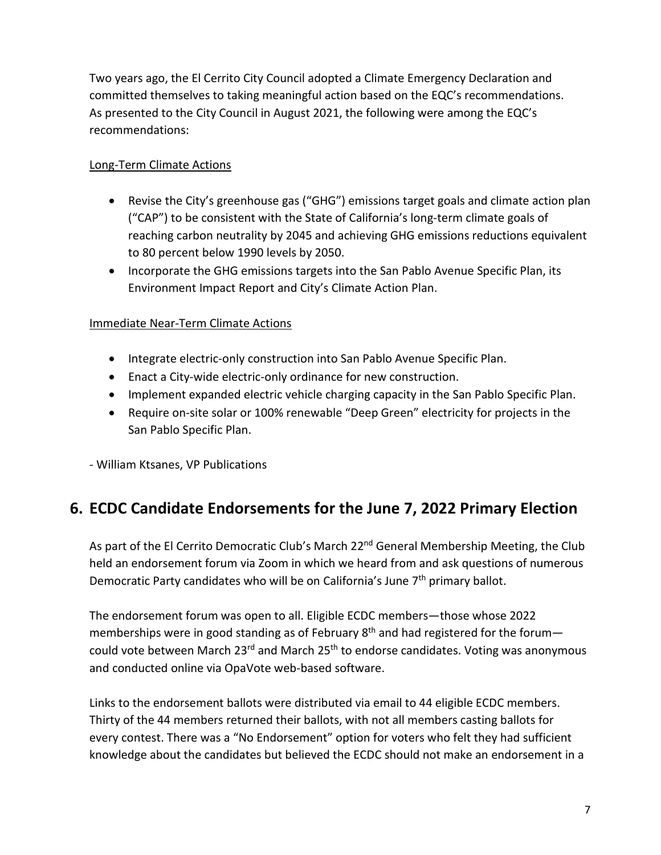Two years ago, the El Cerrito City Council adopted a Climate Emergency Declaration and committed themselves to taking meaningful action based on the EQC's recommendations. As presented to the City Council in August 2021, the following were among the EQC's recommendations:

# Long-Term Climate Actions

- Revise the City's greenhouse gas ("GHG") emissions target goals and climate action plan ("CAP") to be consistent with the State of California's long-term climate goals of reaching carbon neutrality by 2045 and achieving GHG emissions reductions equivalent to 80 percent below 1990 levels by 2050.
- Incorporate the GHG emissions targets into the San Pablo Avenue Specific Plan, its Environment Impact Report and City's Climate Action Plan.

# Immediate Near-Term Climate Actions

- Integrate electric-only construction into San Pablo Avenue Specific Plan.
- Enact a City-wide electric-only ordinance for new construction.
- Implement expanded electric vehicle charging capacity in the San Pablo Specific Plan.
- Require on-site solar or 100% renewable "Deep Green" electricity for projects in the San Pablo Specific Plan.

- William Ktsanes, VP Publications

# **6. ECDC Candidate Endorsements for the June 7, 2022 Primary Election**

As part of the El Cerrito Democratic Club's March 22<sup>nd</sup> General Membership Meeting, the Club held an endorsement forum via Zoom in which we heard from and ask questions of numerous Democratic Party candidates who will be on California's June 7<sup>th</sup> primary ballot.

The endorsement forum was open to all. Eligible ECDC members—those whose 2022 memberships were in good standing as of February  $8<sup>th</sup>$  and had registered for the forumcould vote between March 23<sup>rd</sup> and March 25<sup>th</sup> to endorse candidates. Voting was anonymous and conducted online via OpaVote web-based software.

Links to the endorsement ballots were distributed via email to 44 eligible ECDC members. Thirty of the 44 members returned their ballots, with not all members casting ballots for every contest. There was a "No Endorsement" option for voters who felt they had sufficient knowledge about the candidates but believed the ECDC should not make an endorsement in a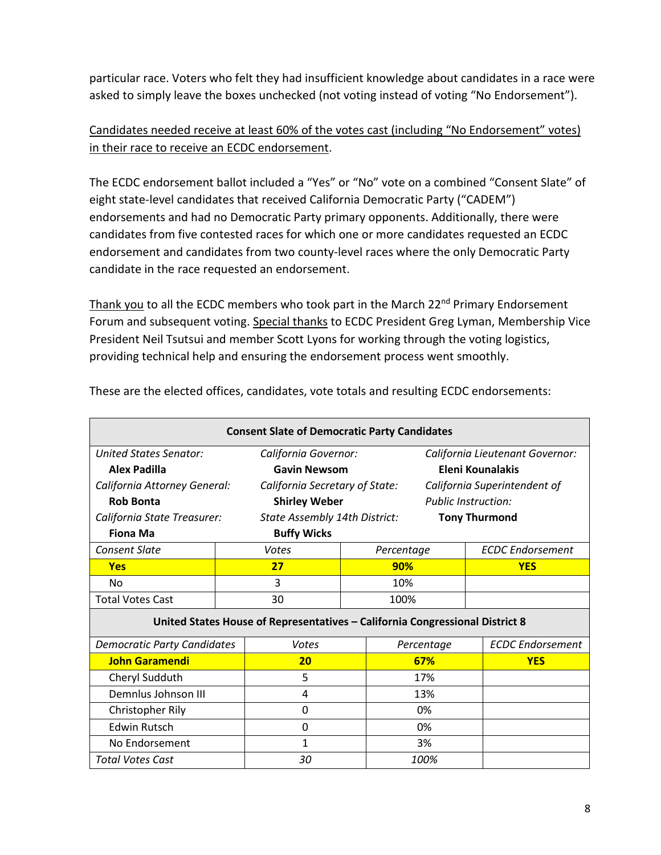particular race. Voters who felt they had insufficient knowledge about candidates in a race were asked to simply leave the boxes unchecked (not voting instead of voting "No Endorsement").

# Candidates needed receive at least 60% of the votes cast (including "No Endorsement" votes) in their race to receive an ECDC endorsement.

The ECDC endorsement ballot included a "Yes" or "No" vote on a combined "Consent Slate" of eight state-level candidates that received California Democratic Party ("CADEM") endorsements and had no Democratic Party primary opponents. Additionally, there were candidates from five contested races for which one or more candidates requested an ECDC endorsement and candidates from two county-level races where the only Democratic Party candidate in the race requested an endorsement.

Thank you to all the ECDC members who took part in the March  $22^{nd}$  Primary Endorsement Forum and subsequent voting. Special thanks to ECDC President Greg Lyman, Membership Vice President Neil Tsutsui and member Scott Lyons for working through the voting logistics, providing technical help and ensuring the endorsement process went smoothly.

| <b>Consent Slate of Democratic Party Candidates</b>                          |       |                                |  |                                 |                            |                              |  |  |  |
|------------------------------------------------------------------------------|-------|--------------------------------|--|---------------------------------|----------------------------|------------------------------|--|--|--|
| United States Senator:                                                       |       | California Governor:           |  | California Lieutenant Governor: |                            |                              |  |  |  |
| <b>Alex Padilla</b>                                                          |       | <b>Gavin Newsom</b>            |  |                                 | Eleni Kounalakis           |                              |  |  |  |
| California Attorney General:                                                 |       | California Secretary of State: |  |                                 |                            | California Superintendent of |  |  |  |
| <b>Rob Bonta</b>                                                             |       | <b>Shirley Weber</b>           |  |                                 | <b>Public Instruction:</b> |                              |  |  |  |
| California State Treasurer:                                                  |       | State Assembly 14th District:  |  | <b>Tony Thurmond</b>            |                            |                              |  |  |  |
| <b>Buffy Wicks</b><br><b>Fiona Ma</b>                                        |       |                                |  |                                 |                            |                              |  |  |  |
| <b>Consent Slate</b>                                                         | Votes |                                |  | Percentage                      |                            | <b>ECDC</b> Endorsement      |  |  |  |
| <b>Yes</b>                                                                   | 27    |                                |  | 90%                             |                            | <b>YES</b>                   |  |  |  |
| No.                                                                          | 3     |                                |  | 10%                             |                            |                              |  |  |  |
| <b>Total Votes Cast</b>                                                      | 30    |                                |  | 100%                            |                            |                              |  |  |  |
| United States House of Representatives - California Congressional District 8 |       |                                |  |                                 |                            |                              |  |  |  |
| <b>Democratic Party Candidates</b>                                           |       | Votes                          |  | Percentage                      |                            | <b>ECDC</b> Endorsement      |  |  |  |
| <b>John Garamendi</b>                                                        |       | 20                             |  | 67%                             |                            | <b>YES</b>                   |  |  |  |
| Cheryl Sudduth                                                               |       | 5                              |  | 17%                             |                            |                              |  |  |  |
| Demnlus Johnson III                                                          |       | 4                              |  | 13%                             |                            |                              |  |  |  |
| Christopher Rily                                                             |       | $\mathbf 0$                    |  | 0%                              |                            |                              |  |  |  |
| <b>Edwin Rutsch</b>                                                          |       | 0                              |  | 0%                              |                            |                              |  |  |  |
| No Endorsement                                                               |       | 1                              |  | 3%                              |                            |                              |  |  |  |
| <b>Total Votes Cast</b>                                                      |       | 30                             |  |                                 | 100%                       |                              |  |  |  |

These are the elected offices, candidates, vote totals and resulting ECDC endorsements: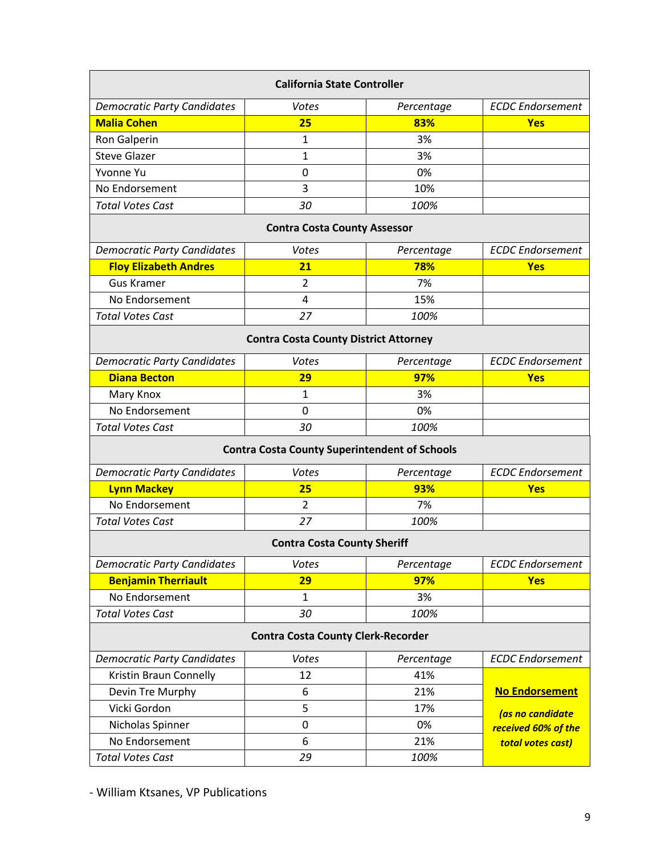| <b>California State Controller</b>                   |                |            |                         |  |  |  |  |  |
|------------------------------------------------------|----------------|------------|-------------------------|--|--|--|--|--|
| <b>Democratic Party Candidates</b>                   | Votes          | Percentage | <b>ECDC</b> Endorsement |  |  |  |  |  |
| <b>Malia Cohen</b>                                   | 25             | 83%        | <b>Yes</b>              |  |  |  |  |  |
| Ron Galperin                                         | 1              | 3%         |                         |  |  |  |  |  |
| <b>Steve Glazer</b>                                  | 1              | 3%         |                         |  |  |  |  |  |
| Yvonne Yu                                            | 0              | 0%         |                         |  |  |  |  |  |
| No Endorsement                                       | 3              | 10%        |                         |  |  |  |  |  |
| <b>Total Votes Cast</b>                              | 30             | 100%       |                         |  |  |  |  |  |
| <b>Contra Costa County Assessor</b>                  |                |            |                         |  |  |  |  |  |
| <b>Democratic Party Candidates</b>                   | Votes          | Percentage | <b>ECDC</b> Endorsement |  |  |  |  |  |
| <b>Floy Elizabeth Andres</b>                         | 21             | 78%        | <b>Yes</b>              |  |  |  |  |  |
| <b>Gus Kramer</b>                                    | 2              | 7%         |                         |  |  |  |  |  |
| No Endorsement                                       | 4              | 15%        |                         |  |  |  |  |  |
| <b>Total Votes Cast</b>                              | 27             | 100%       |                         |  |  |  |  |  |
| <b>Contra Costa County District Attorney</b>         |                |            |                         |  |  |  |  |  |
| <b>Democratic Party Candidates</b>                   | Votes          | Percentage | <b>ECDC</b> Endorsement |  |  |  |  |  |
| <b>Diana Becton</b>                                  | 29             | 97%        | <b>Yes</b>              |  |  |  |  |  |
| Mary Knox                                            | 1              | 3%         |                         |  |  |  |  |  |
| No Endorsement                                       | 0              | 0%         |                         |  |  |  |  |  |
| <b>Total Votes Cast</b>                              | 30             | 100%       |                         |  |  |  |  |  |
| <b>Contra Costa County Superintendent of Schools</b> |                |            |                         |  |  |  |  |  |
| <b>Democratic Party Candidates</b>                   | Votes          | Percentage | <b>ECDC</b> Endorsement |  |  |  |  |  |
| <b>Lynn Mackey</b>                                   | 25             | 93%        | <b>Yes</b>              |  |  |  |  |  |
| No Endorsement                                       | $\overline{2}$ | 7%         |                         |  |  |  |  |  |
| <b>Total Votes Cast</b>                              | 27             | 100%       |                         |  |  |  |  |  |
| <b>Contra Costa County Sheriff</b>                   |                |            |                         |  |  |  |  |  |
| <b>Democratic Party Candidates</b>                   | Votes          | Percentage | <b>ECDC</b> Endorsement |  |  |  |  |  |
| <b>Benjamin Therriault</b>                           | 29             |            | <b>Yes</b>              |  |  |  |  |  |
| No Endorsement                                       | $\mathbf{1}$   | 3%         |                         |  |  |  |  |  |
| <b>Total Votes Cast</b>                              | 30             | 100%       |                         |  |  |  |  |  |
| <b>Contra Costa County Clerk-Recorder</b>            |                |            |                         |  |  |  |  |  |
| <b>Democratic Party Candidates</b>                   | Votes          | Percentage | <b>ECDC</b> Endorsement |  |  |  |  |  |
| Kristin Braun Connelly                               | 12             | 41%        |                         |  |  |  |  |  |
| Devin Tre Murphy                                     | 6              | 21%        | <b>No Endorsement</b>   |  |  |  |  |  |
| Vicki Gordon                                         | 5              | 17%        | (as no candidate        |  |  |  |  |  |
| Nicholas Spinner                                     | $\pmb{0}$      | 0%         | received 60% of the     |  |  |  |  |  |
| No Endorsement                                       | 6              | 21%        | total votes cast)       |  |  |  |  |  |
| <b>Total Votes Cast</b>                              | 29             | 100%       |                         |  |  |  |  |  |

- William Ktsanes, VP Publications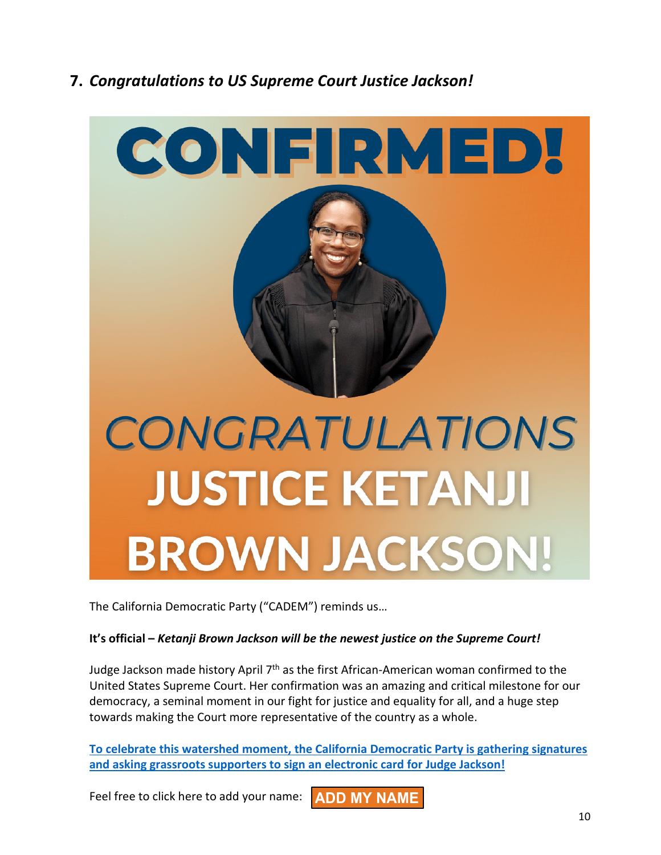# **7.** *Congratulations to US Supreme Court Justice Jackson!*



The California Democratic Party ("CADEM") reminds us…

#### **It's official –** *Ketanji Brown Jackson will be the newest justice on the Supreme Court!*

Judge Jackson made history April 7<sup>th</sup> as the first African-American woman confirmed to the United States Supreme Court. Her confirmation was an amazing and critical milestone for our democracy, a seminal moment in our fight for justice and equality for all, and a huge step towards making the Court more representative of the country as a whole.

**[To celebrate this watershed moment, the California Democratic Party is gathering signatures](https://click.ngpvan.com/k/43886843/339136636/-590957549?nvep=ew0KICAiVGVuYW50VXJpIjogIm5ncHZhbjovL3Zhbi9OR1AvTkdQMzUvMS84MDk5NCIsDQogICJEaXN0cmlidXRpb25VbmlxdWVJZCI6ICIxZTYyNDU3MC1hMWI2LWVjMTEtOTk3ZS0yODE4NzhiODNkOGEiLA0KICAiRW1haWxBZGRyZXNzIjogImdibHltYW5AY29tY2FzdC5uZXQiDQp9&hmac=rX1K6cSgz1lW9WEC3fwHPjuMYYi7zkQGpznLthPa06E=&emci=f695fb3e-83b6-ec11-997e-281878b83d8a&emdi=1e624570-a1b6-ec11-997e-281878b83d8a&ceid=26897)  [and asking grassroots supporters to sign an](https://click.ngpvan.com/k/43886843/339136636/-590957549?nvep=ew0KICAiVGVuYW50VXJpIjogIm5ncHZhbjovL3Zhbi9OR1AvTkdQMzUvMS84MDk5NCIsDQogICJEaXN0cmlidXRpb25VbmlxdWVJZCI6ICIxZTYyNDU3MC1hMWI2LWVjMTEtOTk3ZS0yODE4NzhiODNkOGEiLA0KICAiRW1haWxBZGRyZXNzIjogImdibHltYW5AY29tY2FzdC5uZXQiDQp9&hmac=rX1K6cSgz1lW9WEC3fwHPjuMYYi7zkQGpznLthPa06E=&emci=f695fb3e-83b6-ec11-997e-281878b83d8a&emdi=1e624570-a1b6-ec11-997e-281878b83d8a&ceid=26897) electronic card for Judge Jackson!**

Feel free to click here to add your name: **ADD MY [NAME](https://click.ngpvan.com/k/43886845/339136638/-590957549?nvep=ew0KICAiVGVuYW50VXJpIjogIm5ncHZhbjovL3Zhbi9OR1AvTkdQMzUvMS84MDk5NCIsDQogICJEaXN0cmlidXRpb25VbmlxdWVJZCI6ICIxZTYyNDU3MC1hMWI2LWVjMTEtOTk3ZS0yODE4NzhiODNkOGEiLA0KICAiRW1haWxBZGRyZXNzIjogImdibHltYW5AY29tY2FzdC5uZXQiDQp9&hmac=rX1K6cSgz1lW9WEC3fwHPjuMYYi7zkQGpznLthPa06E=&emci=f695fb3e-83b6-ec11-997e-281878b83d8a&emdi=1e624570-a1b6-ec11-997e-281878b83d8a&ceid=26897)**

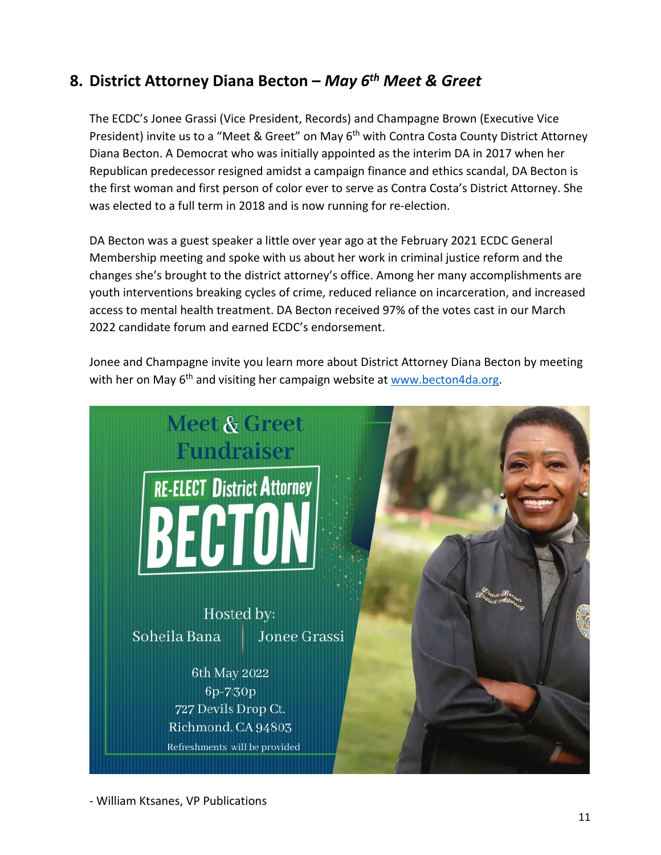# **8. District Attorney Diana Becton –** *May 6th Meet & Greet*

The ECDC's Jonee Grassi (Vice President, Records) and Champagne Brown (Executive Vice President) invite us to a "Meet & Greet" on May 6<sup>th</sup> with Contra Costa County District Attorney Diana Becton. A Democrat who was initially appointed as the interim DA in 2017 when her Republican predecessor resigned amidst a campaign finance and ethics scandal, DA Becton is the first woman and first person of color ever to serve as Contra Costa's District Attorney. She was elected to a full term in 2018 and is now running for re-election.

DA Becton was a guest speaker a little over year ago at the February 2021 ECDC General Membership meeting and spoke with us about her work in criminal justice reform and the changes she's brought to the district attorney's office. Among her many accomplishments are youth interventions breaking cycles of crime, reduced reliance on incarceration, and increased access to mental health treatment. DA Becton received 97% of the votes cast in our March 2022 candidate forum and earned ECDC's endorsement.

Jonee and Champagne invite you learn more about District Attorney Diana Becton by meeting with her on May  $6<sup>th</sup>$  and visiting her campaign website at [www.becton4da.org.](http://www.becton4da.org/)



- William Ktsanes, VP Publications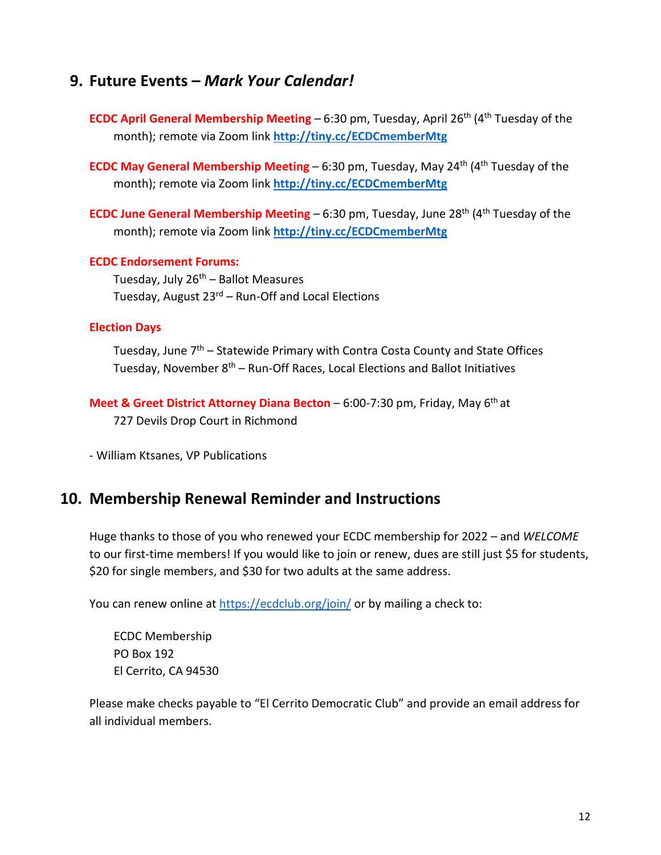# **9. Future Events –** *Mark Your Calendar!*

- **ECDC April General Membership Meeting 6:30 pm, Tuesday, April 26<sup>th</sup> (4<sup>th</sup> Tuesday of the** month); remote via Zoom link **<http://tiny.cc/ECDCmemberMtg>**
- **ECDC May General Membership Meeting 6:30 pm, Tuesday, May 24<sup>th</sup> (4<sup>th</sup> Tuesday of the** month); remote via Zoom link **<http://tiny.cc/ECDCmemberMtg>**
- **ECDC June General Membership Meeting 6:30 pm, Tuesday, June 28<sup>th</sup> (4<sup>th</sup> Tuesday of the** month); remote via Zoom link **<http://tiny.cc/ECDCmemberMtg>**

#### **ECDC Endorsement Forums:**

Tuesday, July  $26<sup>th</sup>$  – Ballot Measures Tuesday, August 23<sup>rd</sup> – Run-Off and Local Elections

#### **Election Days**

Tuesday, June 7<sup>th</sup> – Statewide Primary with Contra Costa County and State Offices Tuesday, November 8<sup>th</sup> – Run-Off Races, Local Elections and Ballot Initiatives

**Meet & Greet District Attorney Diana Becton** – 6:00-7:30 pm, Friday, May 6th at 727 Devils Drop Court in Richmond

- William Ktsanes, VP Publications

# **10. Membership Renewal Reminder and Instructions**

Huge thanks to those of you who renewed your ECDC membership for 2022 – and *WELCOME* to our first-time members! If you would like to join or renew, dues are still just \$5 for students, \$20 for single members, and \$30 for two adults at the same address.

You can renew online at<https://ecdclub.org/join/> or by mailing a check to:

ECDC Membership PO Box 192 El Cerrito, CA 94530

Please make checks payable to "El Cerrito Democratic Club" and provide an email address for all individual members.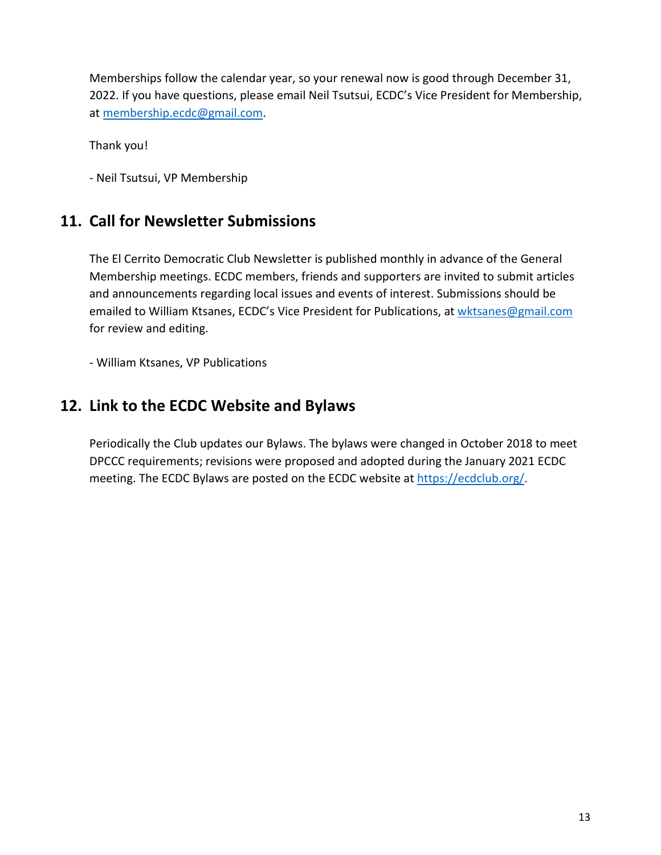Memberships follow the calendar year, so your renewal now is good through December 31, 2022. If you have questions, please email Neil Tsutsui, ECDC's Vice President for Membership, at [membership.ecdc@gmail.com.](mailto:membership.ecdc@gmail.com)

Thank you!

- Neil Tsutsui, VP Membership

# **11. Call for Newsletter Submissions**

The El Cerrito Democratic Club Newsletter is published monthly in advance of the General Membership meetings. ECDC members, friends and supporters are invited to submit articles and announcements regarding local issues and events of interest. Submissions should be emailed to William Ktsanes, ECDC's Vice President for Publications, at [wktsanes@gmail.com](mailto:wktsanes@gmail.com) for review and editing.

- William Ktsanes, VP Publications

# **12. Link to the ECDC Website and Bylaws**

Periodically the Club updates our Bylaws. The bylaws were changed in October 2018 to meet DPCCC requirements; revisions were proposed and adopted during the January 2021 ECDC meeting. The ECDC Bylaws are posted on the ECDC website at <https://ecdclub.org/>.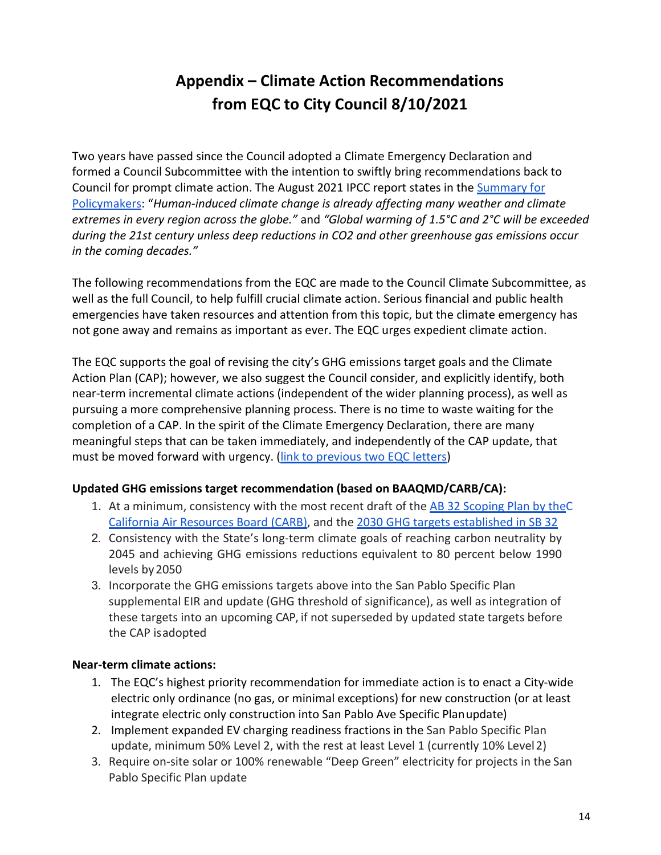# **Appendix – Climate Action Recommendations from EQC to City Council 8/10/2021**

Two years have passed since the Council adopted a Climate Emergency Declaration and formed a Council Subcommittee with the intention to swiftly bring recommendations back to Council for prompt climate action. The August 2021 IPCC report states in the [Summary for](https://www.ipcc.ch/report/ar6/wg1/downloads/report/IPCC_AR6_WGI_SPM.pdf) [Policymakers:](https://www.ipcc.ch/report/ar6/wg1/downloads/report/IPCC_AR6_WGI_SPM.pdf) "*Human-induced climate change is already affecting many weather and climate extremes in every region across the globe."* and *"Global warming of 1.5°C and 2°C will be exceeded during the 21st century unless deep reductions in CO2 and other greenhouse gas emissions occur in the coming decades."*

The following recommendations from the EQC are made to the Council Climate Subcommittee, as well as the full Council, to help fulfill crucial climate action. Serious financial and public health emergencies have taken resources and attention from this topic, but the climate emergency has not gone away and remains as important as ever. The EQC urges expedient climate action.

The EQC supports the goal of revising the city's GHG emissions target goals and the Climate Action Plan (CAP); however, we also suggest the Council consider, and explicitly identify, both near-term incremental climate actions (independent of the wider planning process), as well as pursuing a more comprehensive planning process. There is no time to waste waiting for the completion of a CAP. In the spirit of the Climate Emergency Declaration, there are many meaningful steps that can be taken immediately, and independently of the CAP update, that must be moved forward with urgency. [\(link to previous two EQC letters\)](https://drive.google.com/file/d/1PX07sYpR6GcCN4XvWMlSzP38E-SSJluI/view?usp=sharing)

## **Updated GHG emissions target recommendation (based on BAAQMD/CARB/CA):**

- 1. At a minimum, consistency with the most recent draft of the AB 32 Scoping Plan by the C [California Air Resources Board \(CARB\),](https://ww2.arb.ca.gov/our-work/programs/ab-32-climate-change-scoping-plan) and the [2030 GHG targets established in SB 32](https://en.wikipedia.org/wiki/California_Senate_Bill_32)
- 2. Consistency with the State's long-term climate goals of reaching carbon neutrality by 2045 and achieving GHG emissions reductions equivalent to 80 percent below 1990 levels by2050
- 3. Incorporate the GHG emissions targets above into the San Pablo Specific Plan supplemental EIR and update (GHG threshold of significance), as well as integration of these targets into an upcoming CAP, if not superseded by updated state targets before the CAP isadopted

## **Near-term climate actions:**

- 1. The EQC's highest priority recommendation for immediate action is to enact a City-wide electric only ordinance (no gas, or minimal exceptions) for new construction (or at least integrate electric only construction into San Pablo Ave Specific Planupdate)
- 2. Implement expanded EV charging readiness fractions in the San Pablo Specific Plan update, minimum 50% Level 2, with the rest at least Level 1 (currently 10% Level2)
- 3. Require on-site solar or 100% renewable "Deep Green" electricity for projects in the San Pablo Specific Plan update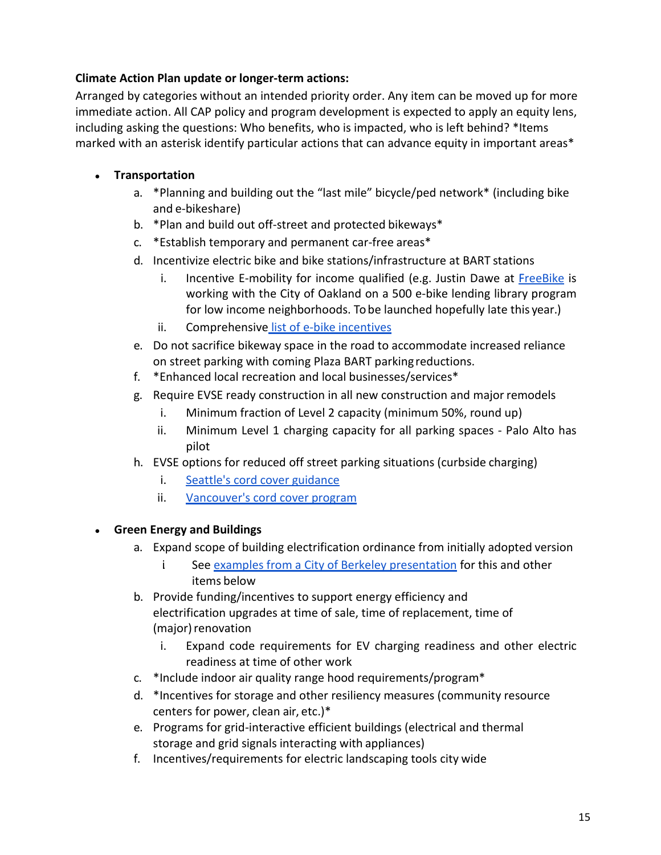# **Climate Action Plan update or longer-term actions:**

Arranged by categories without an intended priority order. Any item can be moved up for more immediate action. All CAP policy and program development is expected to apply an equity lens, including asking the questions: Who benefits, who is impacted, who is left behind? \*Items marked with an asterisk identify particular actions that can advance equity in important areas\*

# **● Transportation**

- a. \*Planning and building out the "last mile" bicycle/ped network\* (including bike and e-bikeshare)
- b. \*Plan and build out off-street and protected bikeways\*
- c. \*Establish temporary and permanent car-free areas\*
- d. Incentivize electric bike and bike stations/infrastructure at BART stations
	- i. Incentive E-mobility for income qualified (e.g. Justin Dawe at [FreeBike](https://www.freebike.org/) is working with the City of Oakland on a 500 e-bike lending library program for low income neighborhoods. To be launched hopefully late this year.)
	- ii. Comprehensive [list of e-bike](https://www.climateaction.center/e-bike-programs) incentives
- e. Do not sacrifice bikeway space in the road to accommodate increased reliance on street parking with coming Plaza BART parkingreductions.
- f. \*Enhanced local recreation and local businesses/services\*
- g. Require EVSE ready construction in all new construction and major remodels
	- i. Minimum fraction of Level 2 capacity (minimum 50%, round up)
	- ii. Minimum Level 1 charging capacity for all parking spaces Palo Alto has pilot
- h. EVSE options for reduced off street parking situations (curbside charging)
	- i. [Seattle's cord cover](https://www.seattle.gov/Documents/Departments/SDOT/CAMs/CAM2119.pdf) guidance
	- ii. [Vancouver's cord cover](https://council.vancouver.ca/20210209/documents/r2.pdf) program

## **● Green Energy and Buildings**

- a. Expand scope of building electrification ordinance from initially adopted version
	- i. See [examples from a City of Berkeley presentation](https://www.cityofberkeley.info/uploadedFiles/Planning_and_Development/Level_3_-_Energy_and_Sustainable_Development/2019_CoB_energygreencodeupdates_Reduced.pdf) for this and other items below
- b. Provide funding/incentives to support energy efficiency and electrification upgrades at time of sale, time of replacement, time of (major) renovation
	- i. Expand code requirements for EV charging readiness and other electric readiness at time of other work
- c. \*Include indoor air quality range hood requirements/program\*
- d. \*Incentives for storage and other resiliency measures (community resource centers for power, clean air, etc.)\*
- e. Programs for grid-interactive efficient buildings (electrical and thermal storage and grid signals interacting with appliances)
- f. Incentives/requirements for electric landscaping tools city wide